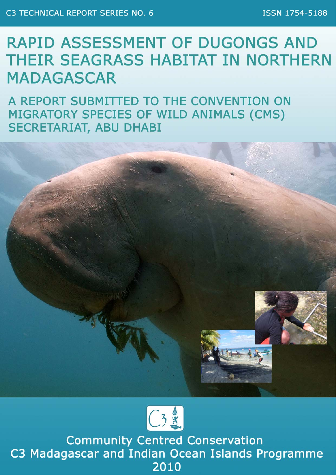# **RAPID ASSESSMENT OF DUGONGS AND** THEIR SEAGRASS HABITAT IN NORTHERN **MADAGASCAR**

A REPORT SUBMITTED TO THE CONVENTION ON MIGRATORY SPECIES OF WILD ANIMALS (CMS) **SECRETARIAT, ABU DHABI** 





**Community Centred Conservation** C3 Madagascar and Indian Ocean Islands Programme 2010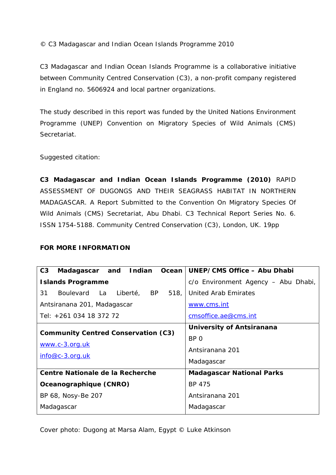© C3 Madagascar and Indian Ocean Islands Programme 2010

C3 Madagascar and Indian Ocean Islands Programme is a collaborative initiative between Community Centred Conservation (C3), a non-profit company registered in England no. 5606924 and local partner organizations.

*The study described in this report was funded by the United Nations Environment Programme (UNEP) Convention on Migratory Species of Wild Animals (CMS) Secretariat.* 

Suggested citation:

**C3 Madagascar and Indian Ocean Islands Programme (2010)** RAPID ASSESSMENT OF DUGONGS AND THEIR SEAGRASS HABITAT IN NORTHERN MADAGASCAR. A Report Submitted to the Convention On Migratory Species Of Wild Animals (CMS) Secretariat, Abu Dhabi. C3 Technical Report Series No. 6. ISSN 1754-5188. Community Centred Conservation (C3), London, UK. 19pp

#### **FOR MORE INFORMATION**

| C3<br>Madagascar and Indian                | Ocean   UNEP/CMS Office - Abu Dhabi |  |  |
|--------------------------------------------|-------------------------------------|--|--|
| <b>Islands Programme</b>                   | c/o Environment Agency - Abu Dhabi, |  |  |
| 31<br>Boulevard La Liberté, BP 518,        | United Arab Emirates                |  |  |
| Antsiranana 201, Madagascar                | www.cms.int                         |  |  |
| Tel: +261 034 18 372 72                    | cmsoffice.ae@cms.int                |  |  |
|                                            | University of Antsiranana           |  |  |
| <b>Community Centred Conservation (C3)</b> | BP 0                                |  |  |
| www.c-3.org.uk                             | Antsiranana 201                     |  |  |
| $info@c-3.org.uk$                          | Madagascar                          |  |  |
| <b>Centre Nationale de la Recherche</b>    | <b>Madagascar National Parks</b>    |  |  |
| Oceanographique (CNRO)                     | BP 475                              |  |  |
| BP 68, Nosy-Be 207                         | Antsiranana 201                     |  |  |
| Madagascar                                 | Madagascar                          |  |  |

*Cover photo: Dugong at Marsa Alam, Egypt © Luke Atkinson*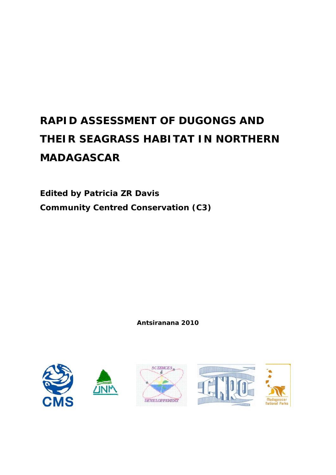# **RAPID ASSESSMENT OF DUGONGS AND THEIR SEAGRASS HABITAT IN NORTHERN MADAGASCAR**

**Edited by Patricia ZR Davis Community Centred Conservation (C3)** 

**Antsiranana 2010** 

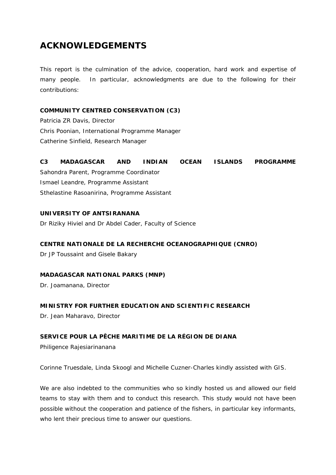## **ACKNOWLEDGEMENTS**

This report is the culmination of the advice, cooperation, hard work and expertise of many people. In particular, acknowledgments are due to the following for their contributions:

#### **COMMUNITY CENTRED CONSERVATION (C3)**

Patricia ZR Davis, Director Chris Poonian, International Programme Manager Catherine Sinfield, Research Manager

### **C3 MADAGASCAR AND INDIAN OCEAN ISLANDS PROGRAMME**  Sahondra Parent, Programme Coordinator Ismael Leandre, Programme Assistant Sthelastine Rasoanirina, Programme Assistant

#### **UNIVERSITY OF ANTSIRANANA**

Dr Riziky Hiviel and Dr Abdel Cader, Faculty of Science

#### **CENTRE NATIONALE DE LA RECHERCHE OCEANOGRAPHIQUE (CNRO)**

Dr JP Toussaint and Gisele Bakary

#### **MADAGASCAR NATIONAL PARKS (MNP)**

Dr. Joamanana, Director

#### **MINISTRY FOR FURTHER EDUCATION AND SCIENTIFIC RESEARCH**

Dr. Jean Maharavo, Director

#### **SERVICE POUR LA PÊCHE MARITIME DE LA RÉGION DE DIANA**

Philigence Rajesiarinanana

Corinne Truesdale, Linda Skoogl and Michelle Cuzner-Charles kindly assisted with GIS.

We are also indebted to the communities who so kindly hosted us and allowed our field teams to stay with them and to conduct this research. This study would not have been possible without the cooperation and patience of the fishers, in particular key informants, who lent their precious time to answer our questions.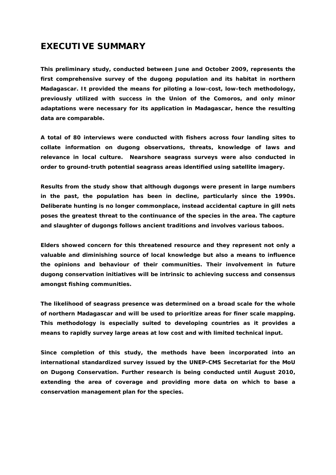### **EXECUTIVE SUMMARY**

**This preliminary study, conducted between June and October 2009, represents the first comprehensive survey of the dugong population and its habitat in northern Madagascar. It provided the means for piloting a low-cost, low-tech methodology, previously utilized with success in the Union of the Comoros, and only minor adaptations were necessary for its application in Madagascar, hence the resulting data are comparable.** 

**A total of 80 interviews were conducted with fishers across four landing sites to collate information on dugong observations, threats, knowledge of laws and relevance in local culture. Nearshore seagrass surveys were also conducted in order to ground-truth potential seagrass areas identified using satellite imagery.** 

**Results from the study show that although dugongs were present in large numbers in the past, the population has been in decline, particularly since the 1990s. Deliberate hunting is no longer commonplace, instead accidental capture in gill nets poses the greatest threat to the continuance of the species in the area. The capture and slaughter of dugongs follows ancient traditions and involves various taboos.** 

**Elders showed concern for this threatened resource and they represent not only a valuable and diminishing source of local knowledge but also a means to influence the opinions and behaviour of their communities. Their involvement in future dugong conservation initiatives will be intrinsic to achieving success and consensus amongst fishing communities.** 

**The likelihood of seagrass presence was determined on a broad scale for the whole of northern Madagascar and will be used to prioritize areas for finer scale mapping. This methodology is especially suited to developing countries as it provides a means to rapidly survey large areas at low cost and with limited technical input.** 

**Since completion of this study, the methods have been incorporated into an international standardized survey issued by the UNEP-CMS Secretariat for the MoU on Dugong Conservation. Further research is being conducted until August 2010, extending the area of coverage and providing more data on which to base a conservation management plan for the species.**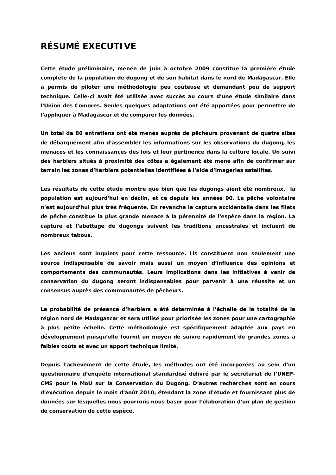### **RÉSUMÉ EXECUTIVE**

**Cette étude préliminaire, menée de juin à octobre 2009 constitue la première étude complète de la population de dugong et de son habitat dans le nord de Madagascar. Elle a permis de piloter une méthodologie peu coûteuse et demandant peu de support technique. Celle-ci avait été utilisée avec succès au cours d'une étude similaire dans l'Union des Comores. Seules quelques adaptations ont été apportées pour permettre de l'appliquer à Madagascar et de comparer les données.** 

**Un total de 80 entretiens ont été menés auprès de pêcheurs provenant de quatre sites de débarquement afin d'assembler les informations sur les observations du dugong, les menaces et les connaissances des lois et leur pertinence dans la culture locale. Un suivi des herbiers situés à proximité des côtes a également été mené afin de confirmer sur terrain les zones d'herbiers potentielles identifiées à l'aide d'imageries satellites.** 

**Les résultats de cette étude montre que bien que les dugongs aient été nombreux, la population est aujourd'hui en déclin, et ce depuis les années 90. La pêche volontaire n'est aujourd'hui plus très fréquente. En revanche la capture accidentelle dans les filets de pêche constitue la plus grande menace à la pérennité de l'espèce dans la région. La capture et l'abattage de dugongs suivent les traditions ancestrales et incluent de nombreux tabous.** 

**Les anciens sont inquiets pour cette ressource. Ils constituent non seulement une source indispensable de savoir mais aussi un moyen d'influence des opinions et comportements des communautés. Leurs implications dans les initiatives à venir de conservation du dugong seront indispensables pour parvenir à une réussite et un consensus auprès des communautés de pêcheurs.** 

**La probabilité de présence d'herbiers a été déterminée à l'échelle de la totalité de la région nord de Madagascar et sera utilisé pour priorisée les zones pour une cartographie à plus petite échelle. Cette méthodologie est spécifiquement adaptée aux pays en développement puisqu'elle fournit un moyen de suivre rapidement de grandes zones à faibles coûts et avec un apport technique limité.** 

**Depuis l'achèvement de cette étude, les méthodes ont été incorporées au sein d'un questionnaire d'enquête international standardisé délivré par le secrétariat de l'UNEP-CMS pour le MoU sur la Conservation du Dugong. D'autres recherches sont en cours d'exécution depuis le mois d'août 2010, étendant la zone d'étude et fournissant plus de données sur lesquelles nous pourrons nous baser pour l'élaboration d'un plan de gestion de conservation de cette espèce.**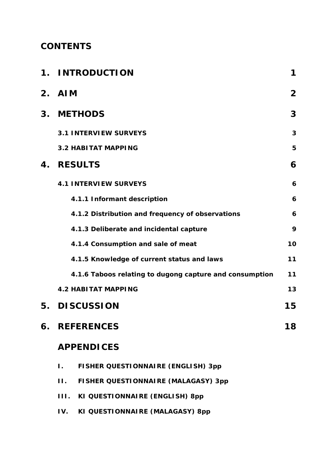## **CONTENTS**

|    | 1. INTRODUCTION                                         | 1              |
|----|---------------------------------------------------------|----------------|
|    | 2. AIM                                                  | $\overline{2}$ |
|    | 3. METHODS                                              | 3              |
|    | <b>3.1 INTERVIEW SURVEYS</b>                            | 3              |
|    | <b>3.2 HABITAT MAPPING</b>                              | 5              |
| 4. | <b>RESULTS</b>                                          | 6              |
|    | <b>4.1 INTERVIEW SURVEYS</b>                            | 6              |
|    | 4.1.1 Informant description                             | 6              |
|    | 4.1.2 Distribution and frequency of observations        | 6              |
|    | 4.1.3 Deliberate and incidental capture                 | 9              |
|    | 4.1.4 Consumption and sale of meat                      | 10             |
|    | 4.1.5 Knowledge of current status and laws              | 11             |
|    | 4.1.6 Taboos relating to dugong capture and consumption | 11             |
|    | <b>4.2 HABITAT MAPPING</b>                              | 13             |
| 5. | <b>DISCUSSION</b>                                       | 15             |
| 6. | <b>REFERENCES</b>                                       | 18             |
|    | <b>APPENDICES</b>                                       |                |
|    | FISHER QUESTIONNAIRE (ENGLISH) 3pp<br>Ι.                |                |
|    | FISHER QUESTIONNAIRE (MALAGASY) 3pp<br>П.               |                |

- **III. KI QUESTIONNAIRE (ENGLISH) 8pp**
- **IV. KI QUESTIONNAIRE (MALAGASY) 8pp**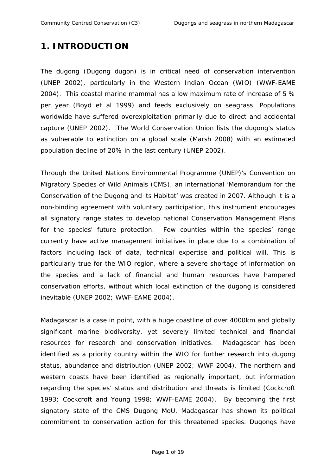## **1. INTRODUCTION**

The dugong *(Dugong dugon)* is in critical need of conservation intervention (UNEP 2002), particularly in the Western Indian Ocean (WIO) (WWF-EAME 2004). This coastal marine mammal has a low maximum rate of increase of 5 % per year (Boyd et al 1999) and feeds exclusively on seagrass. Populations worldwide have suffered overexploitation primarily due to direct and accidental capture (UNEP 2002). The World Conservation Union lists the dugong's status as vulnerable to extinction on a global scale (Marsh 2008) with an estimated population decline of 20% in the last century (UNEP 2002).

Through the United Nations Environmental Programme (UNEP)'s Convention on Migratory Species of Wild Animals (CMS), an international 'Memorandum for the Conservation of the Dugong and its Habitat' was created in 2007. Although it is a non-binding agreement with voluntary participation, this instrument encourages all signatory range states to develop national Conservation Management Plans for the species' future protection. Few counties within the species' range currently have active management initiatives in place due to a combination of factors including lack of data, technical expertise and political will. This is particularly true for the WIO region, where a severe shortage of information on the species and a lack of financial and human resources have hampered conservation efforts, without which local extinction of the dugong is considered inevitable (UNEP 2002; WWF-EAME 2004).

Madagascar is a case in point, with a huge coastline of over 4000km and globally significant marine biodiversity, yet severely limited technical and financial resources for research and conservation initiatives. Madagascar has been identified as a priority country within the WIO for further research into dugong status, abundance and distribution (UNEP 2002; WWF 2004). The northern and western coasts have been identified as regionally important, but information regarding the species' status and distribution and threats is limited (Cockcroft 1993; Cockcroft and Young 1998; WWF-EAME 2004). By becoming the first signatory state of the CMS Dugong MoU, Madagascar has shown its political commitment to conservation action for this threatened species. Dugongs have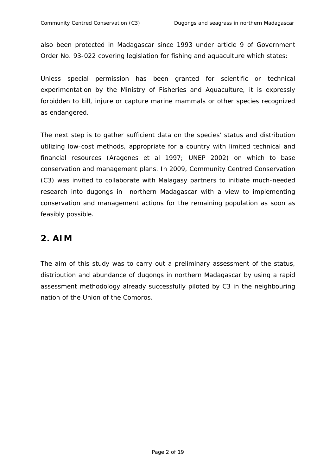also been protected in Madagascar since 1993 under article 9 of Government Order No. 93-022 covering legislation for fishing and aquaculture which states:

*Unless special permission has been granted for scientific or technical experimentation by the Ministry of Fisheries and Aquaculture, it is expressly forbidden to kill, injure or capture marine mammals or other species recognized as endangered.* 

The next step is to gather sufficient data on the species' status and distribution utilizing low-cost methods, appropriate for a country with limited technical and financial resources (Aragones et al 1997; UNEP 2002) on which to base conservation and management plans. In 2009, Community Centred Conservation (C3) was invited to collaborate with Malagasy partners to initiate much-needed research into dugongs in northern Madagascar with a view to implementing conservation and management actions for the remaining population as soon as feasibly possible.

## **2. AIM**

The aim of this study was to carry out a preliminary assessment of the status, distribution and abundance of dugongs in northern Madagascar by using a rapid assessment methodology already successfully piloted by C3 in the neighbouring nation of the Union of the Comoros.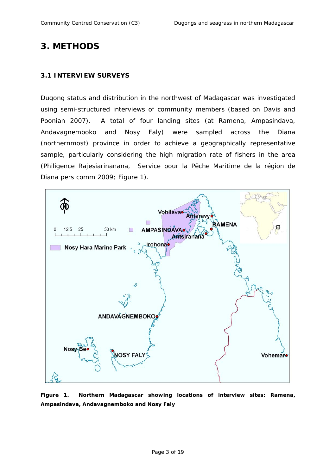### **3. METHODS**

#### **3.1 INTERVIEW SURVEYS**

Dugong status and distribution in the northwest of Madagascar was investigated using semi-structured interviews of community members (based on Davis and Poonian 2007). A total of four landing sites (at Ramena, Ampasindava, Andavagnemboko and Nosy Faly) were sampled across the Diana (northernmost) province in order to achieve a geographically representative sample, particularly considering the high migration rate of fishers in the area (Philigence Rajesiarinanana, *Service pour la Pêche Maritime de la région de Diana* pers comm 2009; Figure 1).



**Figure 1. Northern Madagascar showing locations of interview sites: Ramena, Ampasindava, Andavagnemboko and Nosy Faly**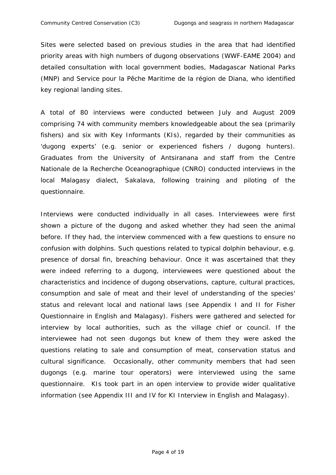Sites were selected based on previous studies in the area that had identified priority areas with high numbers of dugong observations (WWF-EAME 2004) and detailed consultation with local government bodies, Madagascar National Parks (MNP) and *Service pour la Pêche Maritime de la région de Diana*, who identified key regional landing sites.

A total of 80 interviews were conducted between July and August 2009 comprising 74 with community members knowledgeable about the sea (primarily fishers) and six with Key Informants (KIs), regarded by their communities as 'dugong experts' (e.g. senior or experienced fishers / dugong hunters). Graduates from the University of Antsiranana and staff from the *Centre Nationale de la Recherche Oceanographique* (CNRO) conducted interviews in the local Malagasy dialect, *Sakalava,* following training and piloting of the questionnaire.

Interviews were conducted individually in all cases. Interviewees were first shown a picture of the dugong and asked whether they had seen the animal before. If they had, the interview commenced with a few questions to ensure no confusion with dolphins. Such questions related to typical dolphin behaviour, e.g. presence of dorsal fin, breaching behaviour. Once it was ascertained that they were indeed referring to a dugong, interviewees were questioned about the characteristics and incidence of dugong observations, capture, cultural practices, consumption and sale of meat and their level of understanding of the species' status and relevant local and national laws (see Appendix I and II for Fisher Questionnaire in English and Malagasy). Fishers were gathered and selected for interview by local authorities, such as the village chief or council. If the interviewee had not seen dugongs but knew of them they were asked the questions relating to sale and consumption of meat, conservation status and cultural significance. Occasionally, other community members that had seen dugongs (e.g. marine tour operators) were interviewed using the same questionnaire. KIs took part in an open interview to provide wider qualitative information (see Appendix III and IV for KI Interview in English and Malagasy).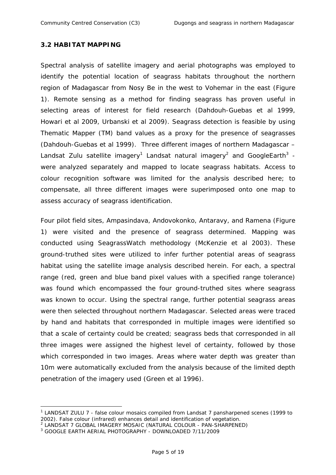#### **3.2 HABITAT MAPPING**

Spectral analysis of satellite imagery and aerial photographs was employed to identify the potential location of seagrass habitats throughout the northern region of Madagascar from Nosy Be in the west to Vohemar in the east (Figure 1). Remote sensing as a method for finding seagrass has proven useful in selecting areas of interest for field research (Dahdouh-Guebas et al 1999, Howari et al 2009, Urbanski et al 2009). Seagrass detection is feasible by using Thematic Mapper (TM) band values as a proxy for the presence of seagrasses (Dahdouh-Guebas et al 1999). Three different images of northern Madagascar – Landsat Zulu satellite imagery<sup>1</sup> Landsat natural imagery<sup>2</sup> and GoogleEarth<sup>3</sup> were analyzed separately and mapped to locate seagrass habitats. Access to colour recognition software was limited for the analysis described here; to compensate, all three different images were superimposed onto one map to assess accuracy of seagrass identification.

Four pilot field sites, Ampasindava, Andovokonko, Antaravy, and Ramena (Figure 1) were visited and the presence of seagrass determined. Mapping was conducted using SeagrassWatch methodology (McKenzie et al 2003). These ground-truthed sites were utilized to infer further potential areas of seagrass habitat using the satellite image analysis described herein. For each, a spectral range (red, green and blue band pixel values with a specified range tolerance) was found which encompassed the four ground-truthed sites where seagrass was known to occur. Using the spectral range, further potential seagrass areas were then selected throughout northern Madagascar. Selected areas were traced by hand and habitats that corresponded in multiple images were identified so that a scale of certainty could be created; seagrass beds that corresponded in all three images were assigned the highest level of certainty, followed by those which corresponded in two images. Areas where water depth was greater than 10m were automatically excluded from the analysis because of the limited depth penetration of the imagery used (Green et al 1996).

1

<sup>&</sup>lt;sup>1</sup> LANDSAT ZULU 7 - false colour mosaics compiled from Landsat 7 pansharpened scenes (1999 to 2002). False colour (infrared) enhances detail and identification of vegetation.

<sup>2</sup> LANDSAT 7 GLOBAL IMAGERY MOSAIC (NATURAL COLOUR - PAN-SHARPENED)

<sup>3</sup> GOOGLE EARTH AERIAL PHOTOGRAPHY - DOWNLOADED 7/11/2009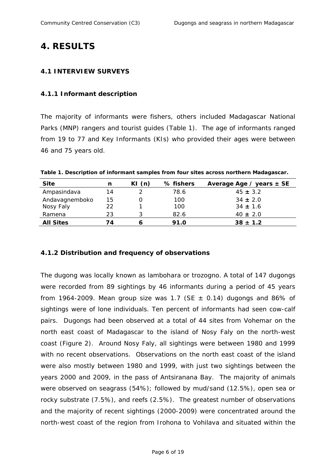### **4. RESULTS**

#### **4.1 INTERVIEW SURVEYS**

### *4.1.1 Informant description*

The majority of informants were fishers, others included Madagascar National Parks (MNP) rangers and tourist guides (Table 1). The age of informants ranged from 19 to 77 and Key Informants (KIs) who provided their ages were between 46 and 75 years old.

**Table 1. Description of informant samples from four sites across northern Madagascar.** 

| <b>Site</b>      | n  | KI $(n)$ | % fishers | Average Age / years $\pm$ SE |
|------------------|----|----------|-----------|------------------------------|
| Ampasindava      | 14 |          | 78.6      | $45 \pm 3.2$                 |
| Andavagnemboko   | 15 |          | 100       | $34 \pm 2.0$                 |
| Nosy Faly        | 22 |          | 100       | $34 \pm 1.6$                 |
| Ramena           | 23 |          | 82.6      | $40 \pm 2.0$                 |
| <b>All Sites</b> | 74 |          | 91.0      | $38 \pm 1.2$                 |

#### *4.1.2 Distribution and frequency of observations*

The dugong was locally known as *lambohara o*r *trozogno.* A total of 147 dugongs were recorded from 89 sightings by 46 informants during a period of 45 years from 1964-2009. Mean group size was 1.7 (SE *±* 0.14) dugongs and 86% of sightings were of lone individuals. Ten percent of informants had seen cow-calf pairs. Dugongs had been observed at a total of 44 sites from Vohemar on the north east coast of Madagascar to the island of Nosy Faly on the north-west coast (Figure 2). Around Nosy Faly, all sightings were between 1980 and 1999 with no recent observations. Observations on the north east coast of the island were also mostly between 1980 and 1999, with just two sightings between the years 2000 and 2009, in the pass of Antsiranana Bay. The majority of animals were observed on seagrass (54%); followed by mud/sand (12.5%), open sea or rocky substrate (7.5%), and reefs (2.5%). The greatest number of observations and the majority of recent sightings (2000-2009) were concentrated around the north-west coast of the region from Irohona to Vohilava and situated within the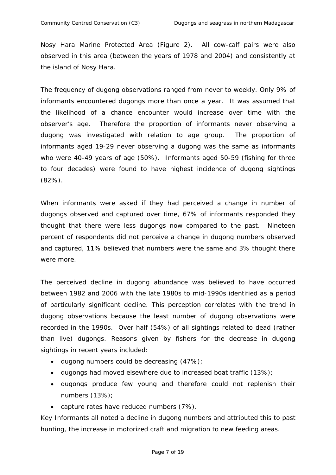Nosy Hara Marine Protected Area (Figure 2). All cow-calf pairs were also observed in this area (between the years of 1978 and 2004) and consistently at the island of Nosy Hara.

The frequency of dugong observations ranged from never to weekly. Only 9% of informants encountered dugongs more than once a year. It was assumed that the likelihood of a chance encounter would increase over time with the observer's age. Therefore the proportion of informants never observing a dugong was investigated with relation to age group. The proportion of informants aged 19-29 never observing a dugong was the same as informants who were 40-49 years of age (50%). Informants aged 50-59 (fishing for three to four decades) were found to have highest incidence of dugong sightings (82%).

When informants were asked if they had perceived a change in number of dugongs observed and captured over time, 67% of informants responded they thought that there were less dugongs now compared to the past. Nineteen percent of respondents did not perceive a change in dugong numbers observed and captured, 11% believed that numbers were the same and 3% thought there were more.

The perceived decline in dugong abundance was believed to have occurred between 1982 and 2006 with the late 1980s to mid-1990s identified as a period of particularly significant decline. This perception correlates with the trend in dugong observations because the least number of dugong observations were recorded in the 1990s. Over half (54%) of all sightings related to dead (rather than live) dugongs. Reasons given by fishers for the decrease in dugong sightings in recent years included:

- dugong numbers could be decreasing  $(47%)$ ;
- dugongs had moved elsewhere due to increased boat traffic (13%);
- dugongs produce few young and therefore could not replenish their numbers (13%);
- capture rates have reduced numbers (7%).

Key Informants all noted a decline in dugong numbers and attributed this to past hunting, the increase in motorized craft and migration to new feeding areas.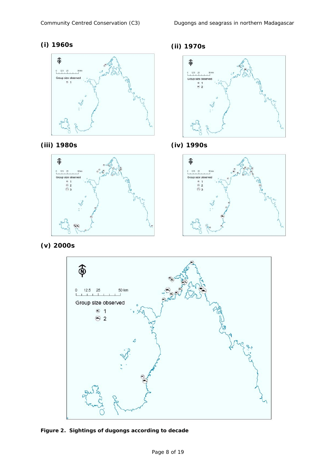













**(v) 2000s** 



**Figure 2. Sightings of dugongs according to decade**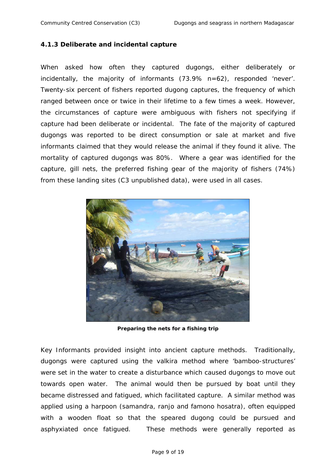#### *4.1.3 Deliberate and incidental capture*

When asked how often they captured dugongs, either deliberately or incidentally, the majority of informants (73.9% *n=*62), responded 'never'. Twenty-six percent of fishers reported dugong captures, the frequency of which ranged between once or twice in their lifetime to a few times a week. However, the circumstances of capture were ambiguous with fishers not specifying if capture had been deliberate or incidental. The fate of the majority of captured dugongs was reported to be direct consumption or sale at market and five informants claimed that they would release the animal if they found it alive. The mortality of captured dugongs was 80%. Where a gear was identified for the capture, gill nets, the preferred fishing gear of the majority of fishers (74%) from these landing sites (C3 unpublished data), were used in all cases.



**Preparing the nets for a fishing trip** 

Key Informants provided insight into ancient capture methods. Traditionally, dugongs were captured using the *valkira* method where 'bamboo-structures' were set in the water to create a disturbance which caused dugongs to move out towards open water. The animal would then be pursued by boat until they became distressed and fatigued, which facilitated capture. A similar method was applied using a harpoon (*samandra, ranjo and famono hosatra),* often equipped with a wooden float so that the speared dugong could be pursued and asphyxiated once fatigued. These methods were generally reported as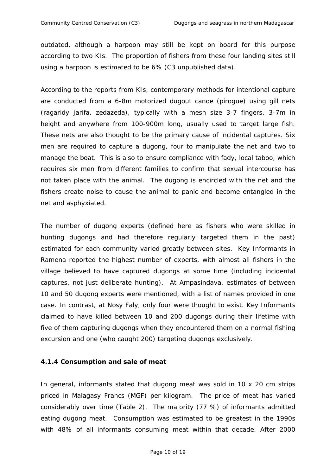outdated, although a harpoon may still be kept on board for this purpose according to two KIs. The proportion of fishers from these four landing sites still using a harpoon is estimated to be 6% (C3 unpublished data).

According to the reports from KIs, contemporary methods for intentional capture are conducted from a 6-8m motorized dugout canoe (*pirogue*) using gill nets (*ragaridy jarifa, zedazeda*), typically with a mesh size 3-7 fingers, 3-7m in height and anywhere from 100-900m long, usually used to target large fish. These nets are also thought to be the primary cause of incidental captures. Six men are required to capture a dugong, four to manipulate the net and two to manage the boat. This is also to ensure compliance with *fady*, local taboo, which requires six men from different families to confirm that sexual intercourse has not taken place with the animal. The dugong is encircled with the net and the fishers create noise to cause the animal to panic and become entangled in the net and asphyxiated.

The number of dugong experts (defined here as fishers who were skilled in hunting dugongs and had therefore regularly targeted them in the past) estimated for each community varied greatly between sites. Key Informants in Ramena reported the highest number of experts, with almost all fishers in the village believed to have captured dugongs at some time (including incidental captures, not just deliberate hunting). At Ampasindava, estimates of between 10 and 50 dugong experts were mentioned, with a list of names provided in one case. In contrast, at Nosy Faly, only four were thought to exist. Key Informants claimed to have killed between 10 and 200 dugongs during their lifetime with five of them capturing dugongs when they encountered them on a normal fishing excursion and one (who caught 200) targeting dugongs exclusively.

#### *4.1.4 Consumption and sale of meat*

In general, informants stated that dugong meat was sold in 10 x 20 cm strips priced in Malagasy Francs (MGF) per kilogram. The price of meat has varied considerably over time (Table 2). The majority (77 %) of informants admitted eating dugong meat. Consumption was estimated to be greatest in the 1990s with 48% of all informants consuming meat within that decade. After 2000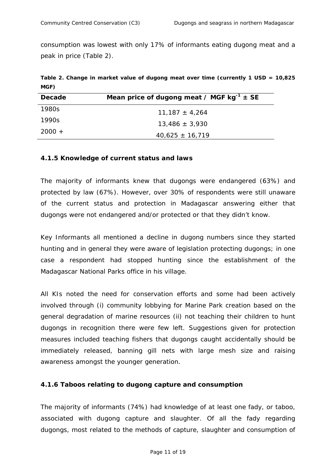consumption was lowest with only 17% of informants eating dugong meat and a peak in price (Table 2).

**Table 2. Change in market value of dugong meat over time (currently 1 USD = 10,825 MGF)** 

| <b>Decade</b> | Mean price of dugong meat / MGF $kg^{-1}$ ± SE |  |  |  |  |  |
|---------------|------------------------------------------------|--|--|--|--|--|
| 1980s         | $11,187 \pm 4,264$                             |  |  |  |  |  |
| 1990s         | $13,486 \pm 3,930$                             |  |  |  |  |  |
| $2000 +$      | $40,625 \pm 16,719$                            |  |  |  |  |  |

#### *4.1.5 Knowledge of current status and laws*

The majority of informants knew that dugongs were endangered (63%) and protected by law (67%). However, over 30% of respondents were still unaware of the current status and protection in Madagascar answering either that dugongs were not endangered and/or protected or that they didn't know.

Key Informants all mentioned a decline in dugong numbers since they started hunting and in general they were aware of legislation protecting dugongs; in one case a respondent had stopped hunting since the establishment of the Madagascar National Parks office in his village.

All KIs noted the need for conservation efforts and some had been actively involved through (i) community lobbying for Marine Park creation based on the general degradation of marine resources (ii) not teaching their children to hunt dugongs in recognition there were few left. Suggestions given for protection measures included teaching fishers that dugongs caught accidentally should be immediately released, banning gill nets with large mesh size and raising awareness amongst the younger generation.

#### *4.1.6 Taboos relating to dugong capture and consumption*

The majority of informants (74%) had knowledge of at least one *fady*, or taboo, associated with dugong capture and slaughter. Of all the *fady* regarding dugongs, most related to the methods of capture, slaughter and consumption of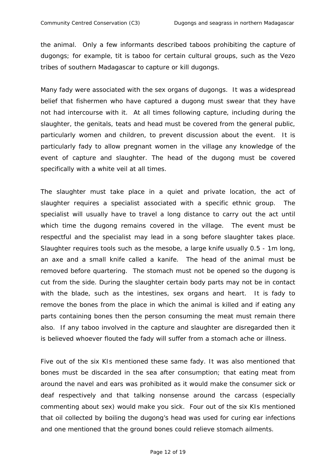the animal. Only a few informants described taboos prohibiting the capture of dugongs; for example, tit is taboo for certain cultural groups, such as the *Vezo* tribes of southern Madagascar to capture or kill dugongs.

Many *fady* were associated with the sex organs of dugongs. It was a widespread belief that fishermen who have captured a dugong must swear that they have not had intercourse with it. At all times following capture, including during the slaughter, the genitals, teats and head must be covered from the general public, particularly women and children, to prevent discussion about the event. It is particularly *fady* to allow pregnant women in the village any knowledge of the event of capture and slaughter. The head of the dugong must be covered specifically with a white veil at all times.

The slaughter must take place in a quiet and private location, the act of slaughter requires a specialist associated with a specific ethnic group. The specialist will usually have to travel a long distance to carry out the act until which time the dugong remains covered in the village. The event must be respectful and the specialist may lead in a song before slaughter takes place. Slaughter requires tools such as the *mesobe*, a large knife usually 0.5 - 1m long, an axe and a small knife called a *kanife*. The head of the animal must be removed before quartering. The stomach must not be opened so the dugong is cut from the side. During the slaughter certain body parts may not be in contact with the blade, such as the intestines, sex organs and heart. It is *fady* to remove the bones from the place in which the animal is killed and if eating any parts containing bones then the person consuming the meat must remain there also. If any taboo involved in the capture and slaughter are disregarded then it is believed whoever flouted the *fady* will suffer from a stomach ache or illness.

Five out of the six KIs mentioned these same *fady*. It was also mentioned that bones must be discarded in the sea after consumption; that eating meat from around the navel and ears was prohibited as it would make the consumer sick or deaf respectively and that talking nonsense around the carcass (especially commenting about sex) would make you sick. Four out of the six KIs mentioned that oil collected by boiling the dugong's head was used for curing ear infections and one mentioned that the ground bones could relieve stomach ailments.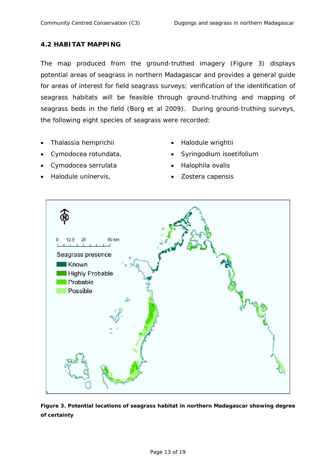### **4.2 HABITAT MAPPING**

The map produced from the ground-truthed imagery (Figure 3) displays potential areas of seagrass in northern Madagascar and provides a general guide for areas of interest for field seagrass surveys; verification of the identification of seagrass habitats will be feasible through ground-truthing and mapping of seagrass beds in the field (Borg et al 2009). During ground-truthing surveys, the following eight species of seagrass were recorded:

- *Thalassia hemprichii*
- *Cymodocea rotundata,*
- *Cymodocea serrulata*
- *Halodule uninervis,*
- *Halodule wrightii*
- *Syringodium isoetifolium*
- *Halophila ovalis*
- *Zostera capensis*



**Figure 3. Potential locations of seagrass habitat in northern Madagascar showing degree of certainty**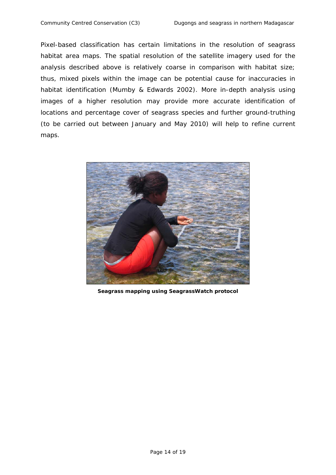Pixel-based classification has certain limitations in the resolution of seagrass habitat area maps. The spatial resolution of the satellite imagery used for the analysis described above is relatively coarse in comparison with habitat size; thus, mixed pixels within the image can be potential cause for inaccuracies in habitat identification (Mumby & Edwards 2002). More in-depth analysis using images of a higher resolution may provide more accurate identification of locations and percentage cover of seagrass species and further ground-truthing (to be carried out between January and May 2010) will help to refine current maps.



**Seagrass mapping using SeagrassWatch protocol**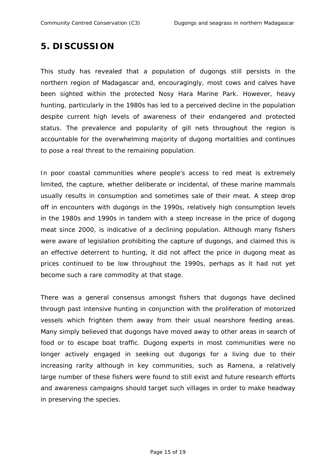### **5. DISCUSSION**

This study has revealed that a population of dugongs still persists in the northern region of Madagascar and, encouragingly, most cows and calves have been sighted within the protected Nosy Hara Marine Park. However, heavy hunting, particularly in the 1980s has led to a perceived decline in the population despite current high levels of awareness of their endangered and protected status. The prevalence and popularity of gill nets throughout the region is accountable for the overwhelming majority of dugong mortalities and continues to pose a real threat to the remaining population.

In poor coastal communities where people's access to red meat is extremely limited, the capture, whether deliberate or incidental, of these marine mammals usually results in consumption and sometimes sale of their meat. A steep drop off in encounters with dugongs in the 1990s, relatively high consumption levels in the 1980s and 1990s in tandem with a steep increase in the price of dugong meat since 2000, is indicative of a declining population. Although many fishers were aware of legislation prohibiting the capture of dugongs, and claimed this is an effective deterrent to hunting, it did not affect the price in dugong meat as prices continued to be low throughout the 1990s, perhaps as it had not yet become such a rare commodity at that stage.

There was a general consensus amongst fishers that dugongs have declined through past intensive hunting in conjunction with the proliferation of motorized vessels which frighten them away from their usual nearshore feeding areas. Many simply believed that dugongs have moved away to other areas in search of food or to escape boat traffic. Dugong experts in most communities were no longer actively engaged in seeking out dugongs for a living due to their increasing rarity although in key communities, such as Ramena, a relatively large number of these fishers were found to still exist and future research efforts and awareness campaigns should target such villages in order to make headway in preserving the species.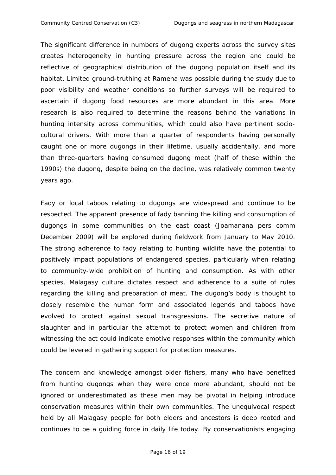The significant difference in numbers of dugong experts across the survey sites creates heterogeneity in hunting pressure across the region and could be reflective of geographical distribution of the dugong population itself and its habitat. Limited ground-truthing at Ramena was possible during the study due to poor visibility and weather conditions so further surveys will be required to ascertain if dugong food resources are more abundant in this area. More research is also required to determine the reasons behind the variations in hunting intensity across communities, which could also have pertinent sociocultural drivers. With more than a quarter of respondents having personally caught one or more dugongs in their lifetime, usually accidentally, and more than three-quarters having consumed dugong meat (half of these within the 1990s) the dugong, despite being on the decline, was relatively common twenty years ago.

*Fady* or local taboos relating to dugongs are widespread and continue to be respected. The apparent presence of *fady* banning the killing and consumption of dugongs in some communities on the east coast (Joamanana pers comm December 2009) will be explored during fieldwork from January to May 2010. The strong adherence to *fady* relating to hunting wildlife have the potential to positively impact populations of endangered species, particularly when relating to community-wide prohibition of hunting and consumption. As with other species, Malagasy culture dictates respect and adherence to a suite of rules regarding the killing and preparation of meat. The dugong's body is thought to closely resemble the human form and associated legends and taboos have evolved to protect against sexual transgressions. The secretive nature of slaughter and in particular the attempt to protect women and children from witnessing the act could indicate emotive responses within the community which could be levered in gathering support for protection measures.

The concern and knowledge amongst older fishers, many who have benefited from hunting dugongs when they were once more abundant, should not be ignored or underestimated as these men may be pivotal in helping introduce conservation measures within their own communities. The unequivocal respect held by all Malagasy people for both elders and ancestors is deep rooted and continues to be a guiding force in daily life today. By conservationists engaging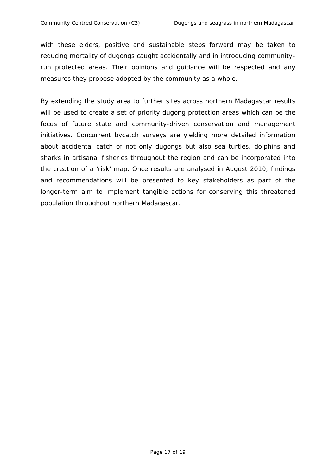with these elders, positive and sustainable steps forward may be taken to reducing mortality of dugongs caught accidentally and in introducing communityrun protected areas. Their opinions and guidance will be respected and any measures they propose adopted by the community as a whole.

By extending the study area to further sites across northern Madagascar results will be used to create a set of priority dugong protection areas which can be the focus of future state and community-driven conservation and management initiatives. Concurrent bycatch surveys are yielding more detailed information about accidental catch of not only dugongs but also sea turtles, dolphins and sharks in artisanal fisheries throughout the region and can be incorporated into the creation of a 'risk' map. Once results are analysed in August 2010, findings and recommendations will be presented to key stakeholders as part of the longer-term aim to implement tangible actions for conserving this threatened population throughout northern Madagascar.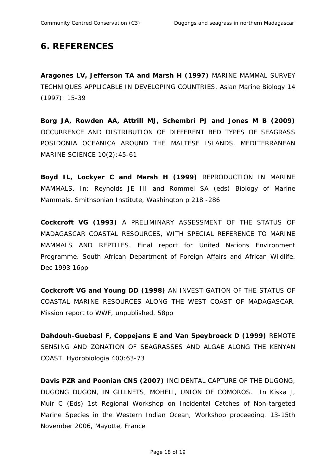## **6. REFERENCES**

**Aragones LV, Jefferson TA and Marsh H (1997)** MARINE MAMMAL SURVEY TECHNIQUES APPLICABLE IN DEVELOPING COUNTRIES. Asian Marine Biology 14 (1997): 15-39

**Borg JA, Rowden AA, Attrill MJ, Schembri PJ and Jones M B (2009)** OCCURRENCE AND DISTRIBUTION OF DIFFERENT BED TYPES OF SEAGRASS *POSIDONIA OCEANICA* AROUND THE MALTESE ISLANDS. MEDITERRANEAN MARINE SCIENCE 10(2):45-61

**Boyd IL, Lockyer C and Marsh H (1999)** REPRODUCTION IN MARINE MAMMALS. In: Reynolds JE III and Rommel SA (eds) Biology of Marine Mammals. Smithsonian Institute, Washington p 218 -286

**Cockcroft VG (1993)** A PRELIMINARY ASSESSMENT OF THE STATUS OF MADAGASCAR COASTAL RESOURCES, WITH SPECIAL REFERENCE TO MARINE MAMMALS AND REPTILES. Final report for United Nations Environment Programme. South African Department of Foreign Affairs and African Wildlife. Dec 1993 16pp

**Cockcroft VG and Young DD (1998)** AN INVESTIGATION OF THE STATUS OF COASTAL MARINE RESOURCES ALONG THE WEST COAST OF MADAGASCAR. Mission report to WWF, unpublished. 58pp

**Dahdouh-Guebasl F, Coppejans E and Van Speybroeck D (1999)** REMOTE SENSING AND ZONATION OF SEAGRASSES AND ALGAE ALONG THE KENYAN COAST. Hydrobiologia 400:63-73

**Davis PZR and Poonian CNS (2007)** INCIDENTAL CAPTURE OF THE DUGONG, DUGONG DUGON, IN GILLNETS, MOHELI, UNION OF COMOROS. In Kiska J, Muir C (Eds) 1st Regional Workshop on Incidental Catches of Non-targeted Marine Species in the Western Indian Ocean, Workshop proceeding. 13-15th November 2006, Mayotte, France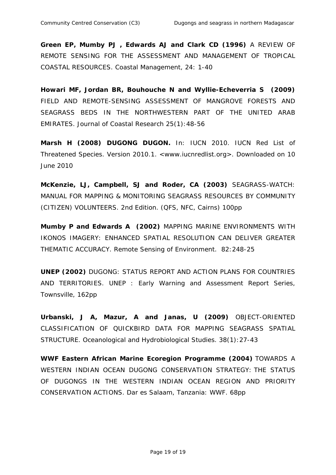**Green EP, Mumby PJ , Edwards AJ and Clark CD (1996)** A REVIEW OF REMOTE SENSING FOR THE ASSESSMENT AND MANAGEMENT OF TROPICAL COASTAL RESOURCES. Coastal Management, 24: 1-40

**Howari MF, Jordan BR, Bouhouche N and Wyllie-Echeverria S (2009)**  FIELD AND REMOTE-SENSING ASSESSMENT OF MANGROVE FORESTS AND SEAGRASS BEDS IN THE NORTHWESTERN PART OF THE UNITED ARAB EMIRATES. Journal of Coastal Research 25(1):48-56

**Marsh H (2008) DUGONG DUGON.** In: IUCN 2010. IUCN Red List of Threatened Species. Version 2010.1. <www.iucnredlist.org>. Downloaded on 10 June 2010

**McKenzie, LJ, Campbell, SJ and Roder, CA (2003)** SEAGRASS-WATCH: MANUAL FOR MAPPING & MONITORING SEAGRASS RESOURCES BY COMMUNITY (CITIZEN) VOLUNTEERS. 2nd Edition. (QFS, NFC, Cairns) 100pp

**Mumby P and Edwards A (2002)** MAPPING MARINE ENVIRONMENTS WITH IKONOS IMAGERY: ENHANCED SPATIAL RESOLUTION CAN DELIVER GREATER THEMATIC ACCURACY. Remote Sensing of Environment. 82:248-25

**UNEP (2002)** DUGONG: STATUS REPORT AND ACTION PLANS FOR COUNTRIES AND TERRITORIES. UNEP : Early Warning and Assessment Report Series, Townsville, 162pp

**Urbanski, J A, Mazur, A and Janas, U (2009)** OBJECT-ORIENTED CLASSIFICATION OF QUICKBIRD DATA FOR MAPPING SEAGRASS SPATIAL STRUCTURE. Oceanological and Hydrobiological Studies. 38(1):27-43

**WWF Eastern African Marine Ecoregion Programme (2004)** TOWARDS A WESTERN INDIAN OCEAN DUGONG CONSERVATION STRATEGY: THE STATUS OF DUGONGS IN THE WESTERN INDIAN OCEAN REGION AND PRIORITY CONSERVATION ACTIONS. Dar es Salaam, Tanzania: WWF. 68pp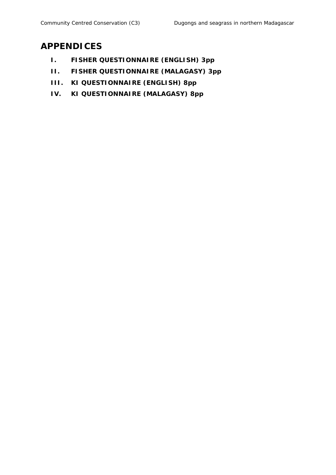## **APPENDICES**

- **I. FISHER QUESTIONNAIRE (ENGLISH) 3pp**
- **II. FISHER QUESTIONNAIRE (MALAGASY) 3pp**
- **III. KI QUESTIONNAIRE (ENGLISH) 8pp**
- **IV. KI QUESTIONNAIRE (MALAGASY) 8pp**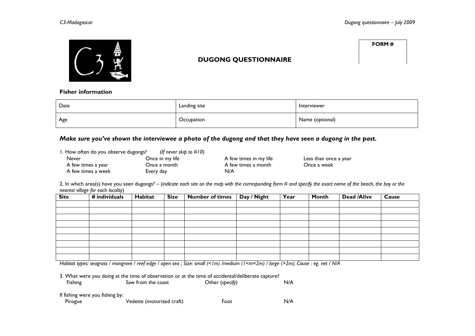

### **DUGONG QUESTIONNAIRE**

**FORM #** 

#### **Fisher information**

| Date | Landing site | Interviewer     |
|------|--------------|-----------------|
| Age  | Occupation   | Name (optional) |

#### *Make sure you've shown the interviewee a photo of the dugong and that they have seen a dugong in the past.*

| 1. How often do you observe dugongs?<br>(If never skip to $\#10$ ) |                 |                        |                       |  |  |  |  |
|--------------------------------------------------------------------|-----------------|------------------------|-----------------------|--|--|--|--|
| Never                                                              | Once in my life | A few times in my life | Less than once a year |  |  |  |  |
| A few times a year                                                 | Once a month    | A few times a month    | Once a week           |  |  |  |  |
| A few times a week                                                 | Every day       | N/A                    |                       |  |  |  |  |

2. In which area(s) have you seen dugongs? – (*indicate each site on the map with the corresponding form # and specify the exact name of the beach, the bay or the nearest village for each locality*)

| <b>Site</b> | # individuals | Habitat | <b>Size</b> | <b>Number of times</b> | Day / Night | Year | <b>Month</b> | <b>Dead /Alive</b> | Cause |
|-------------|---------------|---------|-------------|------------------------|-------------|------|--------------|--------------------|-------|
|             |               |         |             |                        |             |      |              |                    |       |
|             |               |         |             |                        |             |      |              |                    |       |
|             |               |         |             |                        |             |      |              |                    |       |
|             |               |         |             |                        |             |      |              |                    |       |
|             |               |         |             |                        |             |      |              |                    |       |
|             |               |         |             |                        |             |      |              |                    |       |
|             |               |         |             |                        |             |      |              |                    |       |
|             |               |         |             |                        |             |      |              |                    |       |
|             |               |         |             |                        |             |      |              |                    |       |

*Habitat types: seagrass / mangrove / reef edge / open sea ; Size: small (<1m) /medium (1<m<2m) / large (>2m); Cause : eg. net / N/A* 

3. What were you doing at the time of observation or at the time of accidental/deliberate capture?

| Fishing                         | Saw from the coast | Other (specify) | N/A |
|---------------------------------|--------------------|-----------------|-----|
| If fishing were you fishing by: |                    |                 |     |

|         |                           |      | N/A |
|---------|---------------------------|------|-----|
| Pirogue | Vedette (motorized craft) | Foot |     |
|         |                           |      |     |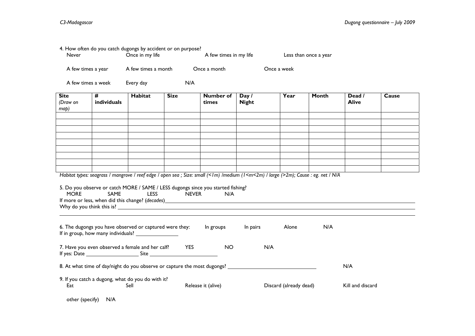| Never                           |                  | Once in my life                                           | 4. How often do you catch dugongs by accident or on purpose? | A few times in my life                                                                  |                                                                                                                                                                                                                                       | Less than once a year  |       |                        |       |
|---------------------------------|------------------|-----------------------------------------------------------|--------------------------------------------------------------|-----------------------------------------------------------------------------------------|---------------------------------------------------------------------------------------------------------------------------------------------------------------------------------------------------------------------------------------|------------------------|-------|------------------------|-------|
| A few times a year              |                  | A few times a month                                       |                                                              | Once a month                                                                            |                                                                                                                                                                                                                                       | Once a week            |       |                        |       |
| A few times a week              |                  | Every day                                                 | N/A                                                          |                                                                                         |                                                                                                                                                                                                                                       |                        |       |                        |       |
| <b>Site</b><br>(Draw on<br>map) | #<br>individuals | Habitat                                                   | <b>Size</b>                                                  | <b>Number</b> of<br>times                                                               | Day /<br><b>Night</b>                                                                                                                                                                                                                 | Year                   | Month | Dead /<br><b>Alive</b> | Cause |
|                                 |                  |                                                           |                                                              |                                                                                         |                                                                                                                                                                                                                                       |                        |       |                        |       |
|                                 |                  |                                                           |                                                              |                                                                                         |                                                                                                                                                                                                                                       |                        |       |                        |       |
|                                 |                  |                                                           |                                                              |                                                                                         |                                                                                                                                                                                                                                       |                        |       |                        |       |
| <b>MORE</b>                     | SAME             | <b>LESS</b>                                               | <b>NEVER</b>                                                 | 5. Do you observe or catch MORE / SAME / LESS dugongs since you started fishing?<br>N/A | Habitat types: seagrass / mangrove / reef edge / open sea ; Size: small (<1m) /medium (1 <m<2m) (="" large="">2m); Cause : eg. net / N/A<br/>If more or less, when did this change? (decades) _______________________________</m<2m)> |                        |       |                        |       |
|                                 |                  | 6. The dugongs you have observed or captured were they:   |                                                              | In groups                                                                               | In pairs                                                                                                                                                                                                                              | Alone                  | N/A   |                        |       |
|                                 |                  | 7. Have you even observed a female and her calf? YES      |                                                              | <b>NO</b>                                                                               | N/A                                                                                                                                                                                                                                   |                        |       |                        |       |
|                                 |                  |                                                           |                                                              |                                                                                         | 8. At what time of day/night do you observe or capture the most dugongs? ___________________________                                                                                                                                  |                        |       | N/A                    |       |
| Eat                             |                  | 9. If you catch a dugong, what do you do with it?<br>Sell |                                                              | Release it (alive)                                                                      |                                                                                                                                                                                                                                       | Discard (already dead) |       | Kill and discard       |       |

|  | other (specify) | N/A |
|--|-----------------|-----|
|--|-----------------|-----|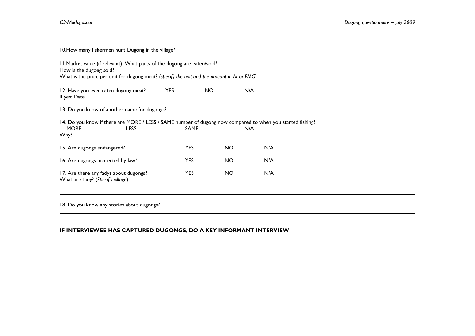10.How many fishermen hunt Dugong in the village?

| 12. Have you ever eaten dugong meat? YES                                                                                                      |            | NO. | N/A |  |  |  |  |
|-----------------------------------------------------------------------------------------------------------------------------------------------|------------|-----|-----|--|--|--|--|
| 13. Do you know of another name for dugongs? ___________________________________                                                              |            |     |     |  |  |  |  |
| 14. Do you know if there are MORE / LESS / SAME number of dugong now compared to when you started fishing?<br>MORE <b>MORE</b><br><b>LESS</b> | SAME       |     | N/A |  |  |  |  |
| 15. Are dugongs endangered?                                                                                                                   | <b>YES</b> | NO. | N/A |  |  |  |  |
| 16. Are dugongs protected by law?                                                                                                             | <b>YES</b> | NO. | N/A |  |  |  |  |
| 17. Are there any fadys about dugongs?                                                                                                        | <b>YES</b> | NO. | N/A |  |  |  |  |
|                                                                                                                                               |            |     |     |  |  |  |  |
|                                                                                                                                               |            |     |     |  |  |  |  |

#### **IF INTERVIEWEE HAS CAPTURED DUGONGS, DO A KEY INFORMANT INTERVIEW**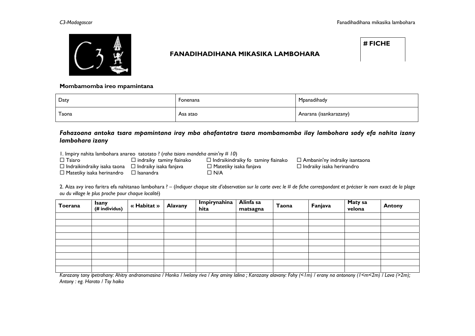

### **FANADIHADIHANA MIKASIKA LAMBOHARA**

**# FICHE** 

**Mombamomba ireo mpamintana** 

| Daty  | Fonenana | Mpanadihady            |
|-------|----------|------------------------|
| Taona | Asa atao | Anarana (isankarazany) |

#### *Fahazoana antoka tsara mpamintana iray mba ahafantatra tsara mombamomba ilay lambohara sady efa nahita izany lambohara izany*

1. Impiry nahita lambohara anareo tatotato ? (*raha tsiaro mandeha amin'ny # 10*)

 $\square$  Tsiaro  $\square$  indraiky taminy fiainako  $\square$  Indraikindraiky fo taminy fiainako  $\square$  Ambanin'ny indraiky isantaona  $\Box$  Indraikindraiky isaka taona  $\Box$  Indraiky isaka fanjava  $\Box$  Matetiky isaka fanjava  $\Box$  Indraiky isaka herinandro

 $\square$  Matetiky isaka herinandro  $\square$  Isanandra  $\square$  N/A

2. Aiza avy ireo faritra efa nahitanao lambohara ? – (*Indiquer chaque site d'observation sur la carte avec le # de fiche correspondant et préciser le nom exact de la plage ou du village le plus proche pour chaque localité*)

| Toerana | <b>Isany</b><br>(# individus) | « Habitat » | <b>Alavany</b> | <b>Impirynahina</b><br>hita | Alinfa sa<br>matsagna | Taona | Fanjava | Maty sa<br>velona | <b>Antony</b> |
|---------|-------------------------------|-------------|----------------|-----------------------------|-----------------------|-------|---------|-------------------|---------------|
|         |                               |             |                |                             |                       |       |         |                   |               |
|         |                               |             |                |                             |                       |       |         |                   |               |
|         |                               |             |                |                             |                       |       |         |                   |               |
|         |                               |             |                |                             |                       |       |         |                   |               |
|         |                               |             |                |                             |                       |       |         |                   |               |
|         |                               |             |                |                             |                       |       |         |                   |               |
|         |                               |             |                |                             |                       |       |         |                   |               |
|         |                               |             |                |                             |                       |       |         |                   |               |
|         |                               |             |                |                             |                       |       |         |                   |               |

Karazany tany ipetrahany: Ahitry andranomasina / Honko / Ivelany riva / Any aminy lalina; Karazany alavany: Fohy (<1m) / erany na antonony (1<m<2m) / Lava (>2m); *Antony : eg. Harato / Tsy haiko*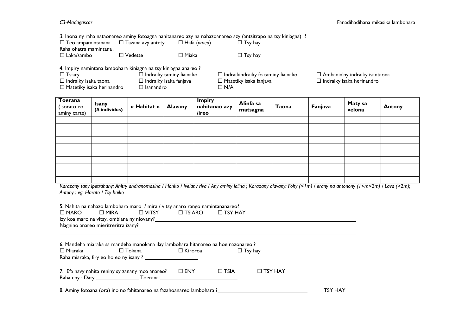*3.* Inona ny raha nataonareo aminy fotoagna nahitanareo azy na nahazoanareo azy (antsitrapo na tsy kiniagna) ?

| $\Box$ Teo ampamintanana $\Box$ Tazana avy antety |                   | $\Box$ Hafa (omeo) | $\Box$ Tsy hay |
|---------------------------------------------------|-------------------|--------------------|----------------|
| Raha ohatra mamintana :                           |                   |                    |                |
| $\Box$ Laka/sambo                                 | $\square$ Vedette | $\Box$ Miaka       | $\Box$ Tsy hay |

4. Impiry namintana lambohara kiniagna na tsy kiniagna anareo ?

| $\Box$ Tsiary                    | $\Box$ Indraiky taminy fiainako | $\Box$ Indraikindraiky fo taminy fiainako | $\Box$ Ambanin'ny indraiky isantaona |
|----------------------------------|---------------------------------|-------------------------------------------|--------------------------------------|
| $\Box$ Indraiky isaka taona      | $\Box$ Indraiky isaka fanjava   | $\Box$ Matetiky isaka fanjava             | $\Box$ Indraiky isaka herinandro     |
| $\Box$ Matetiky isaka herinandro | $\Box$ Isanandro                | コ N/A                                     |                                      |

| Toerana<br>sorato eo<br>aminy carte) | Isany<br>(# individus) | « Habitat » | <b>Alavany</b> | <b>Impiry</b><br>nahitanao azy<br>/ireo | Alinfa sa<br>matsagna | Taona | Fanjava | Maty sa<br>velona | <b>Antony</b> |
|--------------------------------------|------------------------|-------------|----------------|-----------------------------------------|-----------------------|-------|---------|-------------------|---------------|
|                                      |                        |             |                |                                         |                       |       |         |                   |               |
|                                      |                        |             |                |                                         |                       |       |         |                   |               |
|                                      |                        |             |                |                                         |                       |       |         |                   |               |
|                                      |                        |             |                |                                         |                       |       |         |                   |               |
|                                      |                        |             |                |                                         |                       |       |         |                   |               |
|                                      |                        |             |                |                                         |                       |       |         |                   |               |
|                                      |                        |             |                |                                         |                       |       |         |                   |               |
|                                      |                        |             |                |                                         |                       |       |         |                   |               |
|                                      |                        |             |                |                                         |                       |       |         |                   |               |
|                                      |                        |             |                |                                         |                       |       |         |                   |               |

*Karazany tany ipetrahany: Ahitry andranomasina / Honko / Ivelany riva / Any aminy lalina ; Karazany alavany: Fohy (<1m) / erany na antonony (1<m<2m) / Lava (>2m); Antony : eg. Harato / Tsy haiko* 

| 5. Nahita na nahazo lambohara maro / mira / vitsy anaro rango namintananareo?<br>$\Box$ MARO<br>D MIRA                       | $\square$ TSIARO | $\square$ TSY HAY |                |                |  |
|------------------------------------------------------------------------------------------------------------------------------|------------------|-------------------|----------------|----------------|--|
| 6. Mandeha miaraka sa mandeha manokana ilay lambohara hitanareo na hoe nazonareo ?<br>$\Box$ Tokana<br>$\Box$ Miaraka $\Box$ | D Kiroroa        |                   | $\Box$ Tsy hay |                |  |
| 7. Efa navy nahita reniny sy zanany moa anareo?                                                                              | $\square$ ENY    | $\Box$ TSIA       | $\Box$ TSY HAY |                |  |
| 8. Aminy fotoana (ora) ino no fahitanareo na fazahoanareo lambohara ?                                                        |                  |                   |                | <b>TSY HAY</b> |  |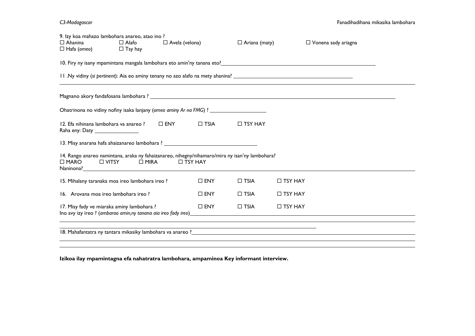*C3-Madagascar* Fanadihadihana mikasika lambohara

| 9. Izy koa mahazo lambohara anareo, atao ino ?<br>$\Box$ Ahanina<br>$\Box$ Hafa (omeo)                                                                   | $\Box$ Alafo<br>$\Box$ Tsy hay                                                                                                                                                                                             | $\Box$ Avela (velona) |               | $\Box$ Ariana (maty) |                | $\Box$ Vonena sady ariagna |  |  |  |
|----------------------------------------------------------------------------------------------------------------------------------------------------------|----------------------------------------------------------------------------------------------------------------------------------------------------------------------------------------------------------------------------|-----------------------|---------------|----------------------|----------------|----------------------------|--|--|--|
|                                                                                                                                                          | 10. Firy ny isany mpamintana mangala lambohara eto amin'ny tanana eto?<br>10. Firy ny isany mpamintana mangala lambohara eto amin'ny tanana eto?<br>10. Firy ny isany mpamintana mangala lambohara eto amin'ny tanàna eto? |                       |               |                      |                |                            |  |  |  |
|                                                                                                                                                          |                                                                                                                                                                                                                            |                       |               |                      |                |                            |  |  |  |
|                                                                                                                                                          |                                                                                                                                                                                                                            |                       |               |                      |                |                            |  |  |  |
|                                                                                                                                                          |                                                                                                                                                                                                                            |                       |               |                      |                |                            |  |  |  |
|                                                                                                                                                          | 12. Efa nihinana lambohara va anareo ? $\Box$ ENY<br>$\square$ TSIA<br>$\Box$ TSY HAY<br>Raha eny: Daty __________________                                                                                                 |                       |               |                      |                |                            |  |  |  |
|                                                                                                                                                          |                                                                                                                                                                                                                            |                       |               |                      |                |                            |  |  |  |
| 14. Rango anareo namintana, araka ny fahaizanareo, nihegny/nihamaro/mira ny isan'ny lambohara?<br>$\Box$ MARO<br>$\Box$ VITSY $\Box$ MIRA $\Box$ TSY HAY |                                                                                                                                                                                                                            |                       |               |                      |                |                            |  |  |  |
| 15. Mihalany taranaka moa ireo lambohara ireo?                                                                                                           |                                                                                                                                                                                                                            |                       | $\square$ ENY | $\Box$ TSIA          | $\Box$ TSY HAY |                            |  |  |  |
| 16. Arovana moa ireo lambohara ireo ?                                                                                                                    |                                                                                                                                                                                                                            |                       | $\square$ ENY | $\Box$ TSIA          | $\Box$ TSY HAY |                            |  |  |  |
| $\Box$ TSIA<br>$\square$ ENY<br>$\Box$ TSY HAY<br>17. Misy fady ve miaraka aminy lambohara?                                                              |                                                                                                                                                                                                                            |                       |               |                      |                |                            |  |  |  |
|                                                                                                                                                          |                                                                                                                                                                                                                            |                       |               |                      |                |                            |  |  |  |

**Izikoa ilay mpamintagna efa nahatratra lambohara, ampaminoa Key informant interview.**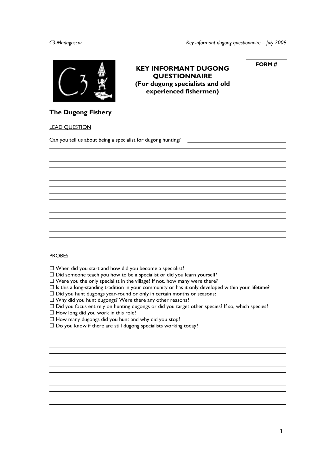**FORM #** 

**KEY INFORMANT DUGONG QUESTIONNAIRE (For dugong specialists and old experienced fishermen)** 



**The Dugong Fishery** 

#### LEAD QUESTION

l

Can you tell us about being a specialist for dugong hunting?

#### **PROBES**

l l

- $\square$  When did you start and how did you become a specialist?
- $\square$  Did someone teach you how to be a specialist or did you learn yourself?
- $\square$  Were you the only specialist in the village? If not, how many were there?
- $\Box$  Is this a long-standing tradition in your community or has it only developed within your lifetime?
- $\square$  Did you hunt dugongs year-round or only in certain months or seasons?
- $\square$  Why did you hunt dugongs? Were there any other reasons?
- $\Box$  Did you focus entirely on hunting dugongs or did you target other species? If so, which species?
- $\Box$  How long did you work in this role?
- $\Box$  How many dugongs did you hunt and why did you stop?
- $\square$  Do you know if there are still dugong specialists working today?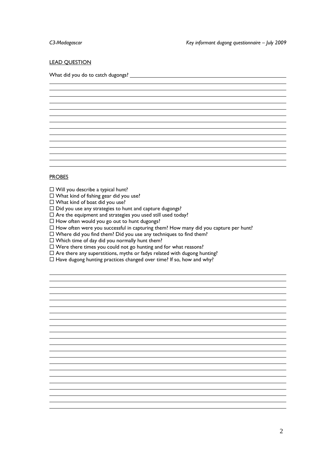l

#### **LEAD QUESTION**

What did you do to catch dugongs?

#### PROBES

l l

- $\Box$  Will you describe a typical hunt?
- $\Box$  What kind of fishing gear did you use?
- $\Box$  What kind of boat did you use?
- $\square$  Did you use any strategies to hunt and capture dugongs?
- $\Box$  Are the equipment and strategies you used still used today?
- $\Box$  How often would you go out to hunt dugongs?
- $\Box$  How often were you successful in capturing them? How many did you capture per hunt?

and the control of the control of the control of the control of the control of the control of the control of the the control of the control of the control of the control of the control of the control of the control of the control of the control of the control of the control of the control of the control of the control of the control the control of the control of the control of the control of the control of the control of the control of the control of the control of the control of the control of the control of the control of the control of the control and the control of the control of the control of the control of the control of the control of the control of the and the control of the control of the control of the control of the control of the control of the control of the

- $\Box$  Where did you find them? Did you use any techniques to find them?
- $\Box$  Which time of day did you normally hunt them?
- $\Box$  Were there times you could not go hunting and for what reasons?
- $\Box$  Are there any superstitions, myths or fadys related with dugong hunting?
- $\Box$  Have dugong hunting practices changed over time? If so, how and why?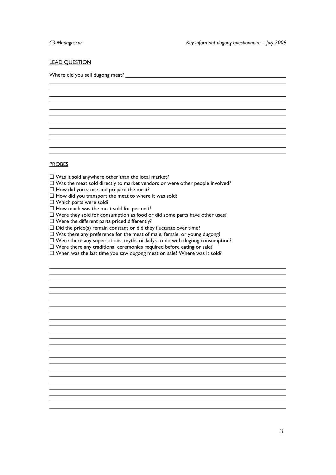#### **LEAD QUESTION**

Where did you sell dugong meat? l

the control of the control of the control of the control of the control of the control of the control of the control of the control of the control of the control of the control of the control of the control of the control and the control of the control of the control of the control of the control of the control of the control of the and the control of the control of the control of the control of the control of the control of the control of the and the control of the control of the control of the control of the control of the control of the control of the

#### **PROBES**

l l

- $\square$  Was it sold anywhere other than the local market?
- $\square$  Was the meat sold directly to market vendors or were other people involved?
- $\Box$  How did you store and prepare the meat?
- $\Box$  How did you transport the meat to where it was sold?
- □ Which parts were sold?
- $\Box$  How much was the meat sold for per unit?
- $\square$  Were they sold for consumption as food or did some parts have other uses?
- $\square$  Were the different parts priced differently?
- $\square$  Did the price(s) remain constant or did they fluctuate over time?
- $\Box$  Was there any preference for the meat of male, female, or young dugong?
- $\Box$  Were there any superstitions, myths or fadys to do with dugong consumption?
- $\Box$  Were there any traditional ceremonies required before eating or sale?
- $\square$  When was the last time you saw dugong meat on sale? Where was it sold?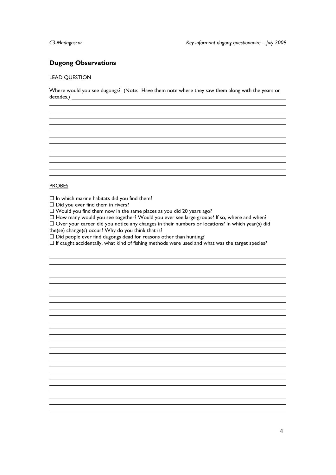#### **Dugong Observations**

#### LEAD QUESTION

l

Where would you see dugongs? (Note: Have them note where they saw them along with the years or decades.) 

#### PROBES

l l

 $\square$  In which marine habitats did you find them?

 $\square$  Did you ever find them in rivers?

 $\square$  Would you find them now in the same places as you did 20 years ago?

 $\Box$  How many would you see together? Would you ever see large groups? If so, where and when?

 $\Box$  Over your career did you notice any changes in their numbers or locations? In which year(s) did

the(se) change(s) occur? Why do you think that is?

 $\square$  Did people ever find dugongs dead for reasons other than hunting?

 $\Box$  If caught accidentally, what kind of fishing methods were used and what was the target species?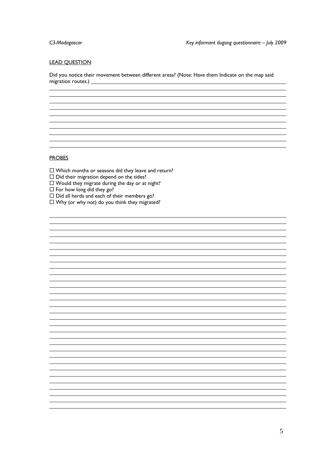#### LEAD QUESTION

Did you notice their movement between different areas? (Note: Have them Indicate on the map said migration routes.)<br>
<u>Example 2006</u>

#### **PROBES**

l l

l

 $\square$  Which months or seasons did they leave and return?

 $\square$  Did their migration depend on the tides?

 $\square$  Would they migrate during the day or at night?

 $\Box$  For how long did they go?

 $\square$  Did all herds and each of their members go?

 $\square$  Why (or why not) do you think they migrated?

and the control of the control of the control of the control of the control of the control of the control of the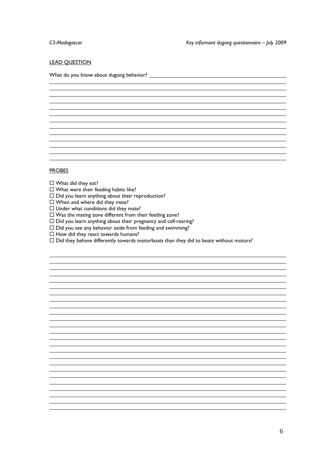l

#### **LEAD QUESTION**

What do you know about dugong behavior?

#### PROBES

l

- $\Box$  What did they eat?
- $\square$  What were their feeding habits like?
- $\square$  Did you learn anything about their reproduction?
- $\Box$  When and where did they mate?
- $\Box$  Under what conditions did they mate?
- $\square$  Was the mating zone different from their feeding zone?
- $\square$  Did you learn anything about their pregnancy and calf-rearing?
- $\square$  Did you see any behavior aside from feeding and swimming?
- $\Box$  How did they react towards humans?
- $\Box$  Did they behave differently towards motorboats than they did to boats without motors?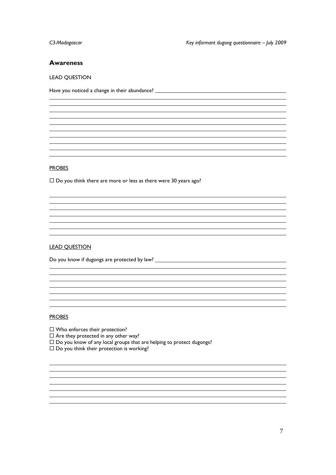#### **Awareness**

#### LEAD QUESTION

Have you noticed a change in their abundance?

#### PROBES

l

l

l

 $\square$  Do you think there are more or less as there were 30 years ago?

the control of the control of the control of the control of the control of the control of the control of the control of the control of the control of the control of the control of the control of the control of the control

#### LEAD QUESTION

Do you know if dugongs are protected by law?

#### **PROBES**

l

- □ Who enforces their protection?
- $\square$  Are they protected in any other way?
- $\square$  Do you know of any local groups that are helping to protect dugongs?

<u> 1980 - Andrea Barbara, amerikan personal (h. 1980).</u> <u> 1989 - Andrea Barbara, amerikan personal dan personal dan personal dan personal dan personal dan personal da</u>

 $\square$  Do you think their protection is working?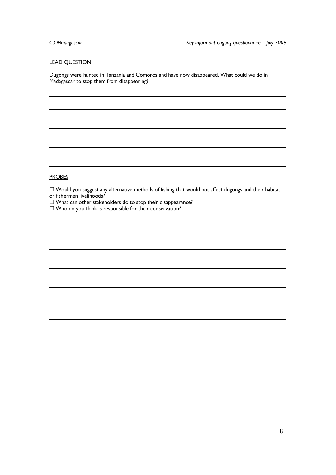l

#### LEAD QUESTION

Dugongs were hunted in Tanzania and Comoros and have now disappeared. What could we do in Madagascar to stop them from disappearing?

#### PROBES

l l

- $\Box$  Would you suggest any alternative methods of fishing that would not affect dugongs and their habitat or fishermen livelihoods?
- $\Box$  What can other stakeholders do to stop their disappearance?
- $\square$  Who do you think is responsible for their conservation?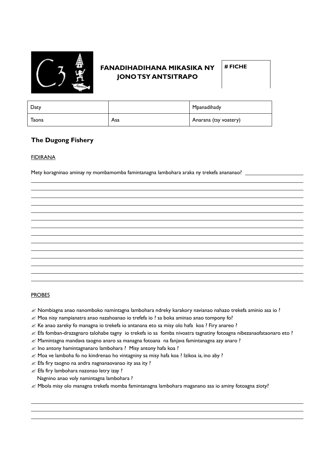

### **FANADIHADIHANA MIKASIKA NY JONO TSY ANTSITRAPO**

**# FICHE** 

| Daty  |     | Mpanadihady           |
|-------|-----|-----------------------|
| Taona | Asa | Anarana (tsy voatery) |

### **The Dugong Fishery**

#### **FIDIRANA**

 $\overline{a}$ 

Mety koragninao aminay ny mombamomba famintanagna lambohara araka ny trekefa anananao?

#### PROBES

 $\overline{a}$  $\overline{a}$ 

- $\mathcal Z$  Nombiagna anao nanomboko namintagna lambohara ndreky karakory navianao nahazo trekefa aminio asa io ?
- $\mathcal Z$  Moa nisy nampianatra anao nazahoanao io trefefa io ? sa boka aminao anao tompony fo?
- $\mathcal{L}$  Ke anao zareky fo managna io trekefa io antanana eto sa misy olo hafa koa ? Firy anareo ?
- $\mathcal Z$  Efa fomban-drazagnaro talohabe tagny io trekefa io sa fomba nivoatra tagnatiny fotoagna nibezanaofataonaro eto ?
- $\mathcal{\mathcal{L}}$  Mamintagna mandava taogno anaro sa managna fotoana na fanjava famintanagna azy anaro ?
- $\mathscr{\mathscr{E}}$  Ino antony hamintagnanaro lambohara ? Misy antony hafa koa ?
- $\mathcal{L}$  Moa ve lamboha fo no kindrenao ho vintagniny sa misy hafa koa ? Izikoa ia, ino aby ?
- $\mathscr{\mathscr{E}}$  Efa firy taogno na andra nagnanaovanao ity asa ity ?
- $\mathscr{A}$  Efa firy lambohara nazonao letry izay ?

Nagnino anao voly namintagna lambohara ?

 $\mathscr A$  Mbola misy olo managna trekefa momba famintanagna lambohara maganano asa io aminy fotoagna zioty?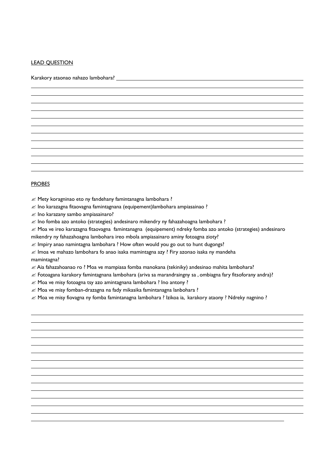#### **LEAD QUESTION**

 $\overline{a}$ 

Karakory ataonao nahazo lambohara?

#### PROBES

 $\overline{a}$  $\overline{a}$ 

 $\overline{a}$ 

 $\mathscr{A}$  Mety koragninao eto ny fandehany famintanagna lambohara ?

 $\mathcal{L}$  Ino karazagna fitaovagna famintagnana (equipement)lambohara ampiasainao ?

 $\mathscr{\mathscr{A}}$  Ino karazany sambo ampiasainaro?

 $\mathcal{L}$  Ino fomba azo antoko (strategies) andesinaro mikendry ny fahazahoagna lambohara ?

 $\mathscr{\mathscr{L}}$  Moa ve ireo karazagna fitaovagna famintanagna (equipement) ndreky fomba azo antoko (strategies) andesinaro

mikendry ny fahazahoagna lambohara ireo mbola ampiasainaro aminy fotoagna zioty?

 $\mathscr{L}$  Impiry anao namintagna lambohara ? How often would you go out to hunt dugongs?

 $\mathcal{L}$  Imoa ve mahazo lambohara fo anao isaka mamintagna azy ? Firy azonao isaka ny mandeha mamintagna?

 $\mathscr A$  Aia fahazahoanao ro ? Moa ve mampiasa fomba manokana (tekiniky) andesinao mahita lambohara?

 $\mathcal{L}$  Fotoagana karakory famintagnana lambohara (ariva sa marandraingny sa, ombiagna fary fitsoforany andra)?

 $\mathcal{L}$  Moa ve misy fotoagna tsy azo amintagnana lambohara ? Ino antony ?

 $\mathcal{L}$  Moa ve misy fomban-drazagna na fady mikasika famintanagna lanbohara ?

 $\mathcal Z$  Moa ve misy fiovagna ny fomba famintanagna lambohara ? Izikoa ia, karakory ataony ? Ndreky nagnino ?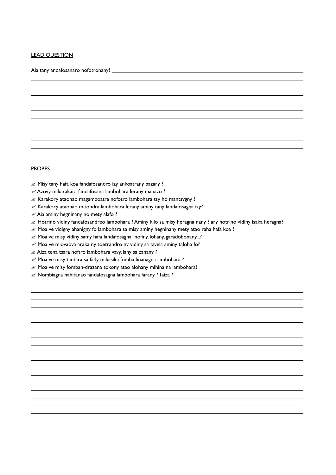#### LEAD QUESTION

 $\overline{a}$ 

Aia tany andafosanaro nofotronany? \_\_

#### **PROBES**

 $\overline{a}$  $\overline{a}$ 

 $\mathscr{\mathscr{E}}$  Misy tany hafa koa fandafosandro izy ankoatrany bazary ?

 $\mathcal{Z}$  Azovy mikarakara fandafosana lambohara lerany mahazo ?

 $\mathscr{A}$  Karakory ataonao magamboatra nofotro lambohara tsy ho mantsygny ?

 $\mathcal{L}$  Karakory ataonao mitondra lambohara lerany aminy tany fandafosagna izy?

 $\mathcal Z$  Aia aminy hegninany no mety alafo?

 $\ll$  Hotrino vidiny fandafosandreo lambohara ? Aminy kilo sa misy heragna nany ? ary hotrino vidiny isaka heragna?

 $\mathcal{L}$  Moa ve vidigny ahanigny fo lambohara sa misy aminy hegninany mety atao raha hafa koa ?

 $\mathcal{L}$  Moa ve misy vidiny samy hafa fandafosagna nofiny, lohany, garadobonany...?

 $\mathscr{A}$  Moa ve miovaova araka ny toetrandro ny vidiny sa tavela aminy taloha fo?

 $\mathscr{\mathscr{E}}$  Aiza tena tsara noftro lambohara vavy, lahy sa zanany ?

 $\mathcal{Z}$  Moa ve misy tantara sa fady mikasika fomba finanagna lambohara ?

 $\mathcal{L}$  Moa ve misy fomban-drazana tokony atao alohany mihina na lambohara?

 $\mathscr{A}$  Nombiagna nahitanao fandafosagna lambohara farany ? Taiza ?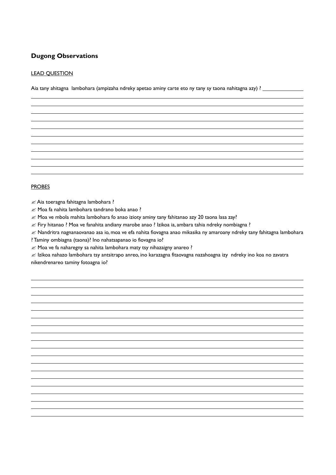### **Dugong Observations**

#### LEAD QUESTION

 $\overline{a}$ 

Aia tany ahitagna lambohara (ampizaha ndreky apetao aminy carte eto ny tany sy taona nahitagna azy) ? \_\_\_\_\_\_\_\_

#### PROBES

 $\overline{a}$  $\overline{a}$ 

 $\mathcal Z$  Aia toeragna fahitagna lambohara ?

 $\mathcal{Z}$  Moa fa nahita lambohara tandrano boka anao ?

 $\mathcal{L}$  Moa ve mbola mahita lambohara fo anao izioty aminy tany fahitanao azy 20 taona lasa zay?

 $\mathcal Z$  Firy hitanao ? Moa ve fanahita andiany marobe anao ? Izikoa ia, ambara tahia ndreky nombiagna ?

 $\mathscr E$  Nandritra nagnanaovanao asa io, moa ve efa nahita fiovagna anao mikasika ny amaroany ndreky tany fahitagna lambohara ? Taminy ombiagna (taona)? Ino nahatsapanao io fiovagna io?

 $\mathcal{L}$  Moa ve fa naharegny sa nahita lambohara maty tsy nihazaigny anareo ?

 $\mathcal Z$  Izikoa nahazo lambohara tsy antsitrapo anreo, ino karazagna fitaovagna nazahoagna izy ndreky ino koa no zavatra nikendrenareo taminy fotoagna io?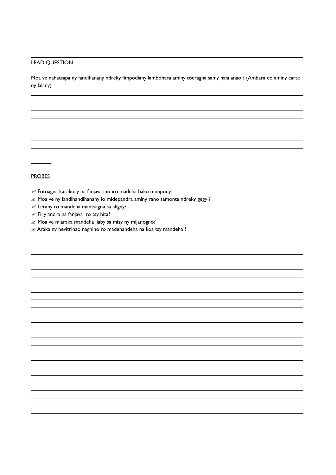#### LEAD QUESTION

 $\overline{a}$ 

 $\overline{a}$ 

Moa ve nahatsapa ny fandihanany ndreky fimpodiany lambohara aminy toeragna samy hafa anao ? (Ambara eo aminy carte ny lalany)

#### **PROBES**

 $\overline{a}$  $\overline{a}$ 

- $\mathcal{L}$  Fotoagna karakory na fanjava ino iro madeha bako mimpody
- $\mathcal{L}$  Moa ve ny fandihandihanany io midepandra aminy rano samonta ndreky gegy ?
- $\mathscr{\mathscr{E}}$  Lerany ro mandeha mantsagna sa aligny?
- $\mathscr{\mathscr{E}}$  Firy andra na fanjava ro tsy hita?
- $\mathcal{Z}$  Moa ve miaraka mandeha jiaby sa misy ny mijanogno?
- $\mathcal{L}$  Araka ny hevitrinao nagnino ro madehandeha na koa tsy mandeha ?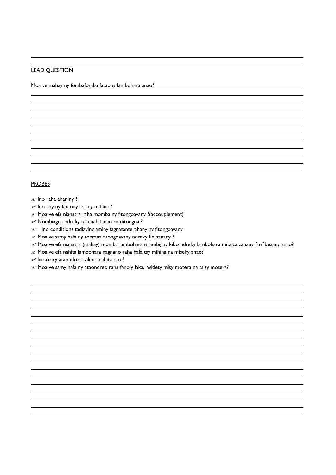#### LEAD QUESTION

 $\overline{a}$ 

 $\overline{a}$ 

Moa ve mahay ny fombafomba fataony lambohara anao? \_\_\_\_\_\_\_\_\_\_\_\_\_\_\_\_\_\_\_\_\_\_\_\_\_\_\_\_\_

#### PROBES

 $\overline{a}$ 

#### $\mathscr{\mathscr{E}}$  Ino raha ahaniny ?

- $\mathscr{\mathscr{A}}$  Ino aby ny fataony lerany mihina ?
- $\mathcal{L}$  Moa ve efa nianatra raha momba ny fitongoavany ?(accouplement)
- $\mathscr{\mathscr{E}}$  Nombiagna ndreky taia nahitanao ro nitongoa ?
- $\mathcal{L}$  Ino conditions tadiaviny aminy fagnatanterahany ny fitongoavany
- $\mathcal{L}$  Moa ve samy hafa ny toerana fitongoavany ndreky fihinanany ?
- $\mathscr{\mathscr{L}}$  Moa ve efa nianatra (mahay) momba lambohara miambigny kibo ndreky lambohara mitaiza zanany farifibezany anao?
- $\mathcal{L}$  Moa ve efa nahita lambohara nagnano raha hafa tsy mihina na miseky anao?
- $\mathcal{L}$  karakory ataondreo izikoa mahita olo ?
- $\mathcal{L}$  Moa ve samy hafa ny ataondreo raha fanojy laka, lavidety misy motera na tsisy motera?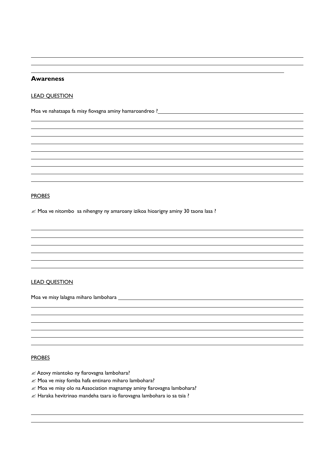#### **Awareness**

 $\overline{a}$ 

 $\overline{a}$ 

 $\overline{a}$ 

#### LEAD QUESTION

Moa ve nahatsapa fa misy fiovagna aminy hamaroandreo ?<br>
Moa ve nahatsapa fa misy fiovagna aminy hamaroandreo ?<br>
2020 - 2021 - 2022 - 2022 - 2022 - 2022 - 2022 - 2022 - 2022 - 2022 - 2023 - 2022 - 2022 - 2022 - 2022 - 2022

#### PROBES

 $\overline{a}$ 

 $\overline{a}$ 

 $\mathcal{L}$  Moa ve nitombo sa nihengny ny amaroany izikoa hioarigny aminy 30 taona lasa ?

#### LEAD QUESTION

Moa ve misy lalagna miharo lambohara

#### PROBES

 $\overline{a}$ 

- $\mathcal Z$  Azovy miantoko ny fiarovagna lambohara?
- $\mathcal{L}$  Moa ve misy fomba hafa entinaro miharo lambohara?
- $\mathcal{L}$  Moa ve misy olo na Association magnampy aminy fiarovagna lambohara?
- $\mathcal{L}$  Haraka hevitrinao mandeha tsara io fiarovagna lambohara io sa tsia ?